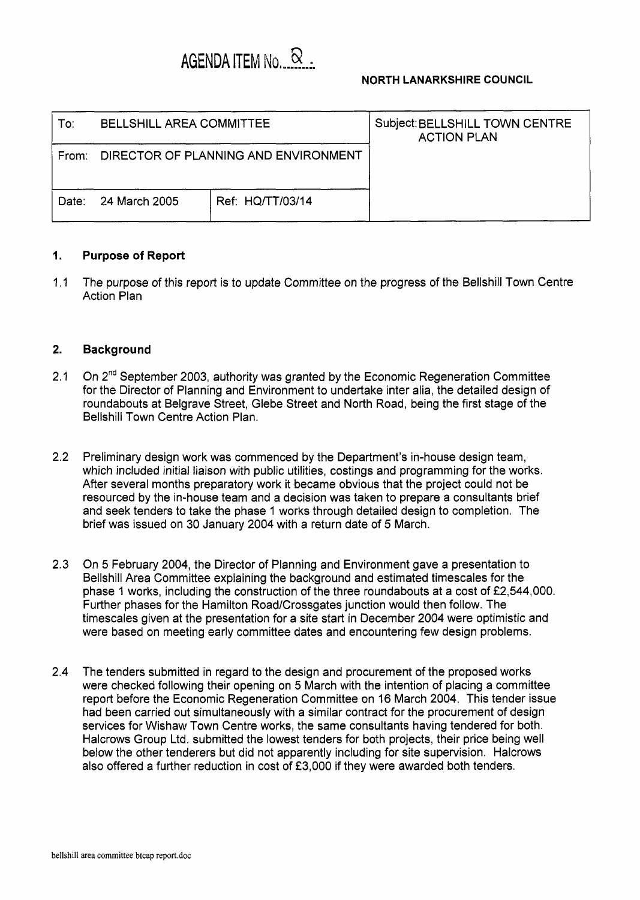|       | AGENDA ITEM No. X                    |                  | <b>NORTH LANARKSHIRE COUNCIL</b>                     |
|-------|--------------------------------------|------------------|------------------------------------------------------|
| To:   | <b>BELLSHILL AREA COMMITTEE</b>      |                  | Subject: BELLSHILL TOWN CENTRE<br><b>ACTION PLAN</b> |
| From: | DIRECTOR OF PLANNING AND ENVIRONMENT |                  |                                                      |
| Date: | 24 March 2005                        | Ref: HQ/TT/03/14 |                                                      |

## **1. Purpose of Report**

1.1 The purpose of this report is to update Committee on the progress of the Bellshill Town Centre Action Plan

## **2. Background**

- 2.1 On 2<sup>nd</sup> September 2003, authority was granted by the Economic Regeneration Committee for the Director of Planning and Environment to undertake inter alia, the detailed design of roundabouts at Belgrave Street, Glebe Street and North Road, being the first stage of the Bellshill Town Centre Action Plan.
- 2.2 Preliminary design work was commenced by the Department's in-house design team, which included initial liaison with public utilities, costings and programming for the works. After several months preparatory work it became obvious that the project could not be resourced by the in-house team and a decision was taken to prepare a consultants brief and seek tenders to take the phase 1 works through detailed design to completion. The brief was issued on 30 January 2004 with a return date of 5 March.
- 2.3 On 5 February 2004, the Director of Planning and Environment gave a presentation to Bellshill Area Committee explaining the background and estimated timescales for the phase 1 works, including the construction of the three roundabouts at a cost of f2,544,000. Further phases for the Hamilton Road/Crossgates junction would then follow. The timescales given at the presentation for a site start in December 2004 were optimistic and were based on meeting early committee dates and encountering few design problems.
- 2.4 The tenders submitted in regard to the design and procurement of the proposed works were checked following their opening on 5 March with the intention of placing a committee report before the Economic Regeneration Committee on 16 March 2004. This tender issue had been carried out simultaneously with a similar contract for the procurement of design services for Wishaw Town Centre works, the same consultants having tendered for both. Halcrows Group Ltd. submitted the lowest tenders for both projects, their price being well below the other tenderers but did not apparently including for site supervision. Halcrows also offered a further reduction in cost of  $£3,000$  if they were awarded both tenders.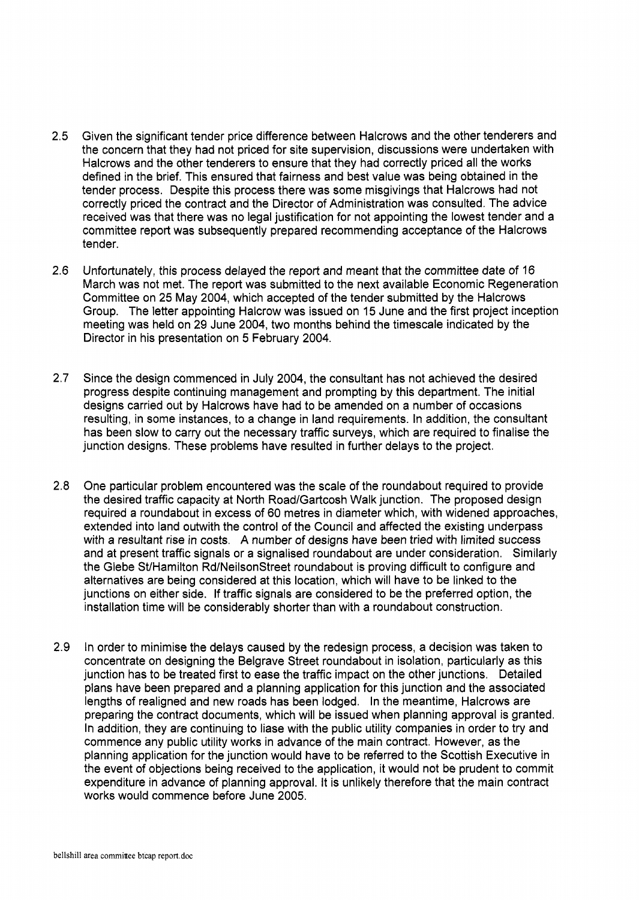- **2.5**  Given the significant tender price difference between Halcrows and the other tenderers and the concern that they had not priced for site supervision, discussions were undertaken with Halcrows and the other tenderers to ensure that they had correctly priced all the works defined in the brief. This ensured that fairness and best value was being obtained in the tender process. Despite this process there was some misgivings that Halcrows had not correctly priced the contract and the Director of Administration was consulted. The advice received was that there was no legal justification for not appointing the lowest tender and a committee report was subsequently prepared recommending acceptance of the Halcrows tender.
- 2.6 Unfortunately, this process delayed the report and meant that the committee date of 16 March was not met. The report was submitted to the next available Economic Regeneration Committee on 25 May 2004, which accepted of the tender submitted by the Halcrows Group. The letter appointing Halcrow was issued on 15 June and the first project inception meeting was held on 29 June 2004, two months behind the timescale indicated by the Director in his presentation on *5* February 2004.
- **2.7**  Since the design commenced in July 2004, the consultant has not achieved the desired progress despite continuing management and prompting by this department. The initial designs carried out by Halcrows have had to be amended on a number of occasions resulting, in some instances, to a change in land requirements. In addition, the consultant has been slow to carry out the necessary traffic surveys, which are required to finalise the junction designs. These problems have resulted in further delays to the project.
- **2.8**  One particular problem encountered was the scale of the roundabout required to provide the desired traffic capacity at North Road/Gartcosh Walk junction. The proposed design required a roundabout in excess of 60 metres in diameter which, with widened approaches, extended into land outwith the control of the Council and affected the existing underpass with a resultant rise in costs. A number of designs have been tried with limited success and at present traffic signals or a signalised roundabout are under consideration. Similarly the Glebe StlHamilton Rd/NeilsonStreet roundabout is proving difficult to configure and alternatives are being considered at this location, which will have to be linked to the junctions on either side. If traffic signals are considered to be the preferred option, the installation time will be considerably shorter than with a roundabout construction.
- 2.9 In order to minimise the delays caused by the redesign process, a decision was taken to concentrate on designing the Belgrave Street roundabout in isolation, particularly as this junction has to be treated first to ease the traffic impact on the other junctions. Detailed plans have been prepared and a planning application for this junction and the associated lengths of realigned and new roads has been lodged. In the meantime, Halcrows are preparing the contract documents, which will be issued when planning approval is granted. In addition, they are continuing to liase with the public utility companies in order to try and commence any public utility works in advance of the main contract. However, as the planning application for the junction would have to be referred to the Scottish Executive in the event of objections being received to the application, it would not be prudent to commit expenditure in advance of planning approval. It is unlikely therefore that the main contract works would commence before June 2005.